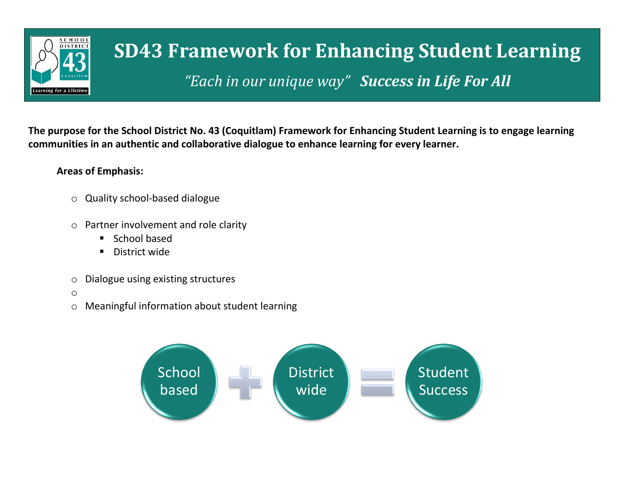

## **SD43 Framework for Enhancing Student Learning**

*"Each in our unique way" Success in Life For All*

**The purpose for the School District No. 43 (Coquitlam) Framework for Enhancing Student Learning is to engage learning communities in an authentic and collaborative dialogue to enhance learning for every learner.**

## **Areas of Emphasis:**

- o Quality school-based dialogue
- o Partner involvement and role clarity
	- School based
	- **District wide**
- o Dialogue using existing structures
- o
- o Meaningful information about student learning